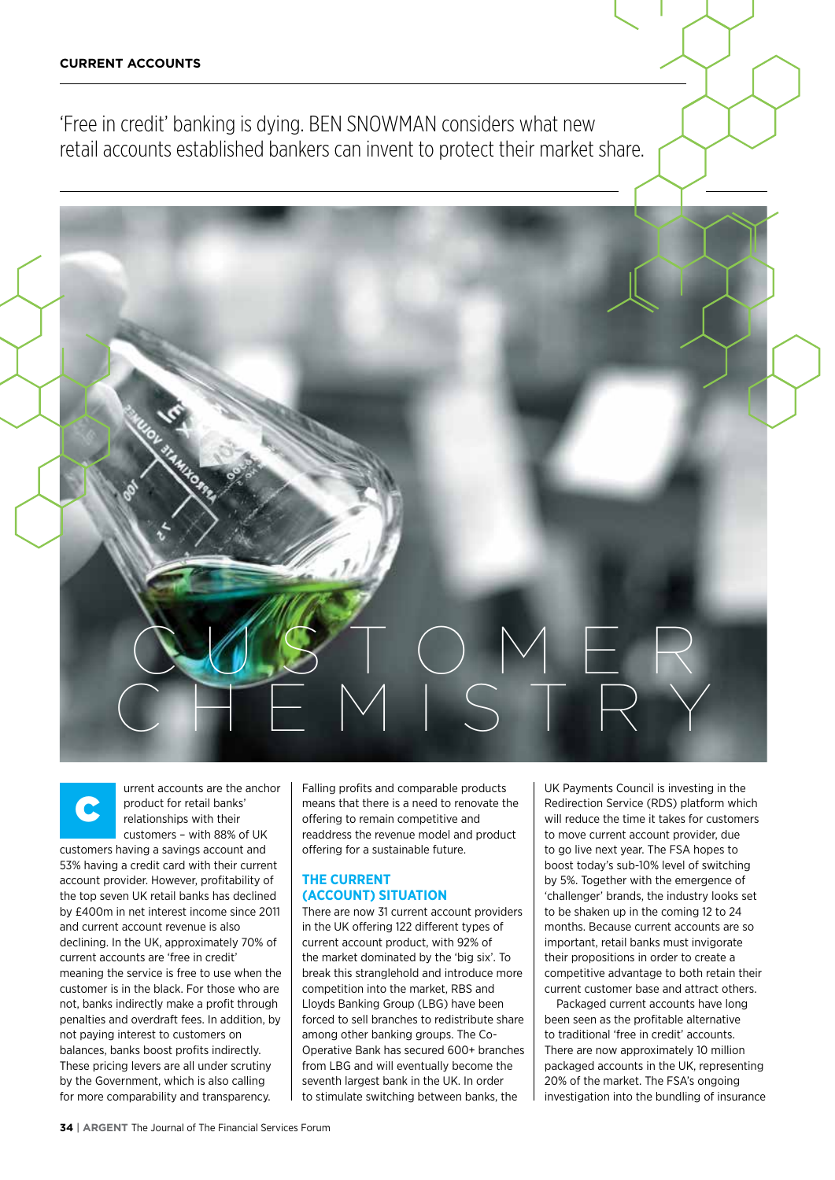'Free in credit' banking is dying. BEN SNOWMAN considers what new retail accounts established bankers can invent to protect their market share.

C urrent accounts are the anchor product for retail banks' relationships with their customers – with 88% of UK

customers having a savings account and 53% having a credit card with their current account provider. However, profitability of the top seven UK retail banks has declined by £400m in net interest income since 2011 and current account revenue is also declining. In the UK, approximately 70% of current accounts are 'free in credit' meaning the service is free to use when the customer is in the black. For those who are not, banks indirectly make a profit through penalties and overdraft fees. In addition, by not paying interest to customers on balances, banks boost profits indirectly. These pricing levers are all under scrutiny by the Government, which is also calling for more comparability and transparency.

Falling profits and comparable products means that there is a need to renovate the offering to remain competitive and readdress the revenue model and product offering for a sustainable future.

C U S T O M E R

CHEMISTRY

### **The current (account) situation**

There are now 31 current account providers in the UK offering 122 different types of current account product, with 92% of the market dominated by the 'big six'. To break this stranglehold and introduce more competition into the market, RBS and Lloyds Banking Group (LBG) have been forced to sell branches to redistribute share among other banking groups. The Co-Operative Bank has secured 600+ branches from LBG and will eventually become the seventh largest bank in the UK. In order to stimulate switching between banks, the

UK Payments Council is investing in the Redirection Service (RDS) platform which will reduce the time it takes for customers to move current account provider, due to go live next year. The FSA hopes to boost today's sub-10% level of switching by 5%. Together with the emergence of 'challenger' brands, the industry looks set to be shaken up in the coming 12 to 24 months. Because current accounts are so important, retail banks must invigorate their propositions in order to create a competitive advantage to both retain their current customer base and attract others.

Packaged current accounts have long been seen as the profitable alternative to traditional 'free in credit' accounts. There are now approximately 10 million packaged accounts in the UK, representing 20% of the market. The FSA's ongoing investigation into the bundling of insurance